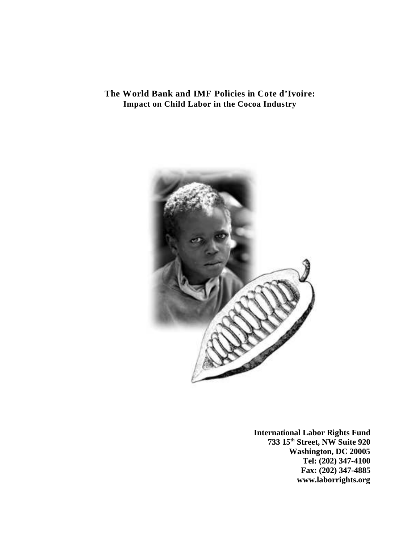# **The World Bank and IMF Policies in Cote d'Ivoire: Impact on Child Labor in the Cocoa Industry**



**International Labor Rights Fund 733 15th Street, NW Suite 920 Washington, DC 20005 Tel: (202) 347-4100 Fax: (202) 347-4885 www.laborrights.org**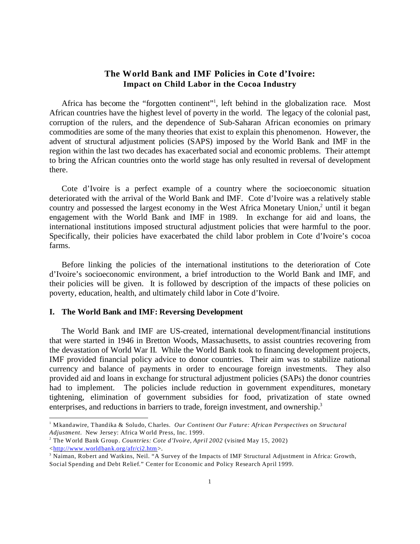# **The World Bank and IMF Policies in Cote d'Ivoire: Impact on Child Labor in the Cocoa Industry**

Africa has become the "forgotten continent"<sup>1</sup>, left behind in the globalization race. Most African countries have the highest level of poverty in the world. The legacy of the colonial past, corruption of the rulers, and the dependence of Sub-Saharan African economies on primary commodities are some of the many theories that exist to explain this phenomenon. However, the advent of structural adjustment policies (SAPS) imposed by the World Bank and IMF in the region within the last two decades has exacerbated social and economic problems. Their attempt to bring the African countries onto the world stage has only resulted in reversal of development there.

Cote d'Ivoire is a perfect example of a country where the socioeconomic situation deteriorated with the arrival of the World Bank and IMF. Cote d'Ivoire was a relatively stable country and possessed the largest economy in the West Africa Monetary Union,<sup>2</sup> until it began engagement with the World Bank and IMF in 1989. In exchange for aid and loans, the international institutions imposed structural adjustment policies that were harmful to the poor. Specifically, their policies have exacerbated the child labor problem in Cote d'Ivoire's cocoa farms.

Before linking the policies of the international institutions to the deterioration of Cote d'Ivoire's socioeconomic environment, a brief introduction to the World Bank and IMF, and their policies will be given. It is followed by description of the impacts of these policies on poverty, education, health, and ultimately child labor in Cote d'Ivoire.

#### **I. The World Bank and IMF: Reversing Development**

The World Bank and IMF are US-created, international development/financial institutions that were started in 1946 in Bretton Woods, Massachusetts, to assist countries recovering from the devastation of World War II. While the World Bank took to financing development projects, IMF provided financial policy advice to donor countries. Their aim was to stabilize national currency and balance of payments in order to encourage foreign investments. They also provided aid and loans in exchange for structural adjustment policies (SAPs) the donor countries had to implement. The policies include reduction in government expenditures, monetary tightening, elimination of government subsidies for food, privatization of state owned enterprises, and reductions in barriers to trade, foreign investment, and ownership.<sup>3</sup>

<sup>1</sup> Mkandawire, Thandika & Soludo, Charles. *Our Continent Our Future: African Perspectives on Structural Adjustment*. New Jersey: Africa World Press, Inc. 1999.

<sup>2</sup> The World Bank Group. *Countries: Cote d'Ivoire, April 2002* (visited May 15, 2002) [<http://www.worldbank.org/afr/ci2.htm](#page-6-0)>.

<sup>&</sup>lt;sup>3</sup> Naiman, Robert and Watkins, Neil. "A Survey of the Impacts of IMF Structural Adjustment in Africa: Growth, Social Spending and Debt Relief." Center for Economic and Policy Research April 1999.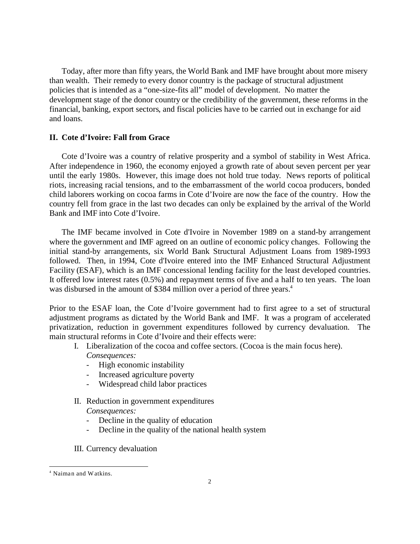Today, after more than fifty years, the World Bank and IMF have brought about more misery than wealth. Their remedy to every donor country is the package of structural adjustment policies that is intended as a "one-size-fits all" model of development. No matter the development stage of the donor country or the credibility of the government, these reforms in the financial, banking, export sectors, and fiscal policies have to be carried out in exchange for aid and loans.

# **II. Cote d'Ivoire: Fall from Grace**

Cote d'Ivoire was a country of relative prosperity and a symbol of stability in West Africa. After independence in 1960, the economy enjoyed a growth rate of about seven percent per year until the early 1980s. However, this image does not hold true today. News reports of political riots, increasing racial tensions, and to the embarrassment of the world cocoa producers, bonded child laborers working on cocoa farms in Cote d'Ivoire are now the face of the country. How the country fell from grace in the last two decades can only be explained by the arrival of the World Bank and IMF into Cote d'Ivoire.

The IMF became involved in Cote d'Ivoire in November 1989 on a stand-by arrangement where the government and IMF agreed on an outline of economic policy changes. Following the initial stand-by arrangements, six World Bank Structural Adjustment Loans from 1989-1993 followed. Then, in 1994, Cote d'Ivoire entered into the IMF Enhanced Structural Adjustment Facility (ESAF), which is an IMF concessional lending facility for the least developed countries. It offered low interest rates (0.5%) and repayment terms of five and a half to ten years. The loan was disbursed in the amount of \$384 million over a period of three years.<sup>4</sup>

Prior to the ESAF loan, the Cote d'Ivoire government had to first agree to a set of structural adjustment programs as dictated by the World Bank and IMF. It was a program of accelerated privatization, reduction in government expenditures followed by currency devaluation. The main structural reforms in Cote d'Ivoire and their effects were:

- I. Liberalization of the cocoa and coffee sectors. (Cocoa is the main focus here). *Consequences:* 
	- High economic instability
	- Increased agriculture poverty
	- Widespread child labor practices
- II. Reduction in government expenditures *Consequences:* 
	- Decline in the quality of education
	- Decline in the quality of the national health system
- III. Currency devaluation

<sup>4</sup> Naiman and Watkins.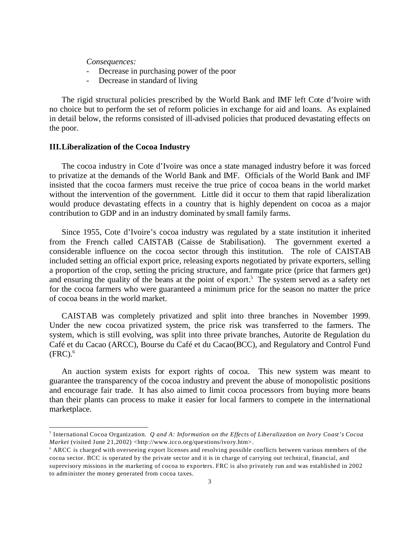*Consequences:* 

- Decrease in purchasing power of the poor
- Decrease in standard of living

The rigid structural policies prescribed by the World Bank and IMF left Cote d'Ivoire with no choice but to perform the set of reform policies in exchange for aid and loans. As explained in detail below, the reforms consisted of ill-advised policies that produced devastating effects on the poor.

#### **III.Liberalization of the Cocoa Industry**

The cocoa industry in Cote d'Ivoire was once a state managed industry before it was forced to privatize at the demands of the World Bank and IMF. Officials of the World Bank and IMF insisted that the cocoa farmers must receive the true price of cocoa beans in the world market without the intervention of the government. Little did it occur to them that rapid liberalization would produce devastating effects in a country that is highly dependent on cocoa as a major contribution to GDP and in an industry dominated by small family farms.

Since 1955, Cote d'Ivoire's cocoa industry was regulated by a state institution it inherited from the French called CAISTAB (Caisse de Stabilisation). The government exerted a considerable influence on the cocoa sector through this institution. The role of CAISTAB included setting an official export price, releasing exports negotiated by private exporters, selling a proportion of the crop, setting the pricing structure, and farmgate price (price that farmers get) and ensuring the quality of the beans at the point of export.<sup>5</sup> The system served as a safety net for the cocoa farmers who were guaranteed a minimum price for the season no matter the price of cocoa beans in the world market.

CAISTAB was completely privatized and split into three branches in November 1999. Under the new cocoa privatized system, the price risk was transferred to the farmers. The system, which is still evolving, was split into three private branches, Autorite de Regulation du Café et du Cacao (ARCC), Bourse du Café et du Cacao(BCC), and Regulatory and Control Fund  $(FRC).<sup>6</sup>$ 

An auction system exists for export rights of cocoa. This new system was meant to guarantee the transparency of the cocoa industry and prevent the abuse of monopolistic positions and encourage fair trade. It has also aimed to limit cocoa processors from buying more beans than their plants can process to make it easier for local farmers to compete in the international marketplace.

<sup>5</sup> International Cocoa Organization*. Q and A: Information on the Effects of Liberalization on Ivory Coast's Cocoa Market* (visited June 21,2002) <http://www.icco.org/questions/ivory.htm>.

<sup>6</sup> ARCC is charged with overseeing export licenses and resolving possible conflicts between various members of the cocoa sector. BCC is operated by the private sector and it is in charge of carrying out technical, financial, and supervisory missions in the marketing of cocoa to exporters. FRC is also privately run and was established in 2002 to administer the money generated from cocoa taxes.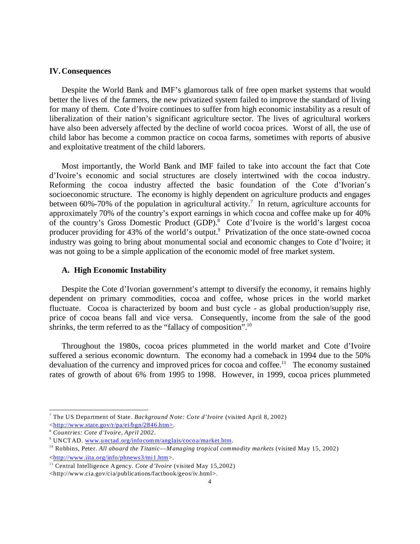#### **IV.Consequences**

Despite the World Bank and IMF's glamorous talk of free open market systems that would better the lives of the farmers, the new privatized system failed to improve the standard of living for many of them. Cote d'Ivoire continues to suffer from high economic instability as a result of liberalization of their nation's significant agriculture sector. The lives of agricultural workers have also been adversely affected by the decline of world cocoa prices. Worst of all, the use of child labor has become a common practice on cocoa farms, sometimes with reports of abusive and exploitative treatment of the child laborers.

Most importantly, the World Bank and IMF failed to take into account the fact that Cote d'Ivoire's economic and social structures are closely intertwined with the cocoa industry. Reforming the cocoa industry affected the basic foundation of the Cote d'Ivorian's socioeconomic structure. The economy is highly dependent on agriculture products and engages between 60%-70% of the population in agricultural activity.<sup>7</sup> In return, agriculture accounts for approximately 70% of the country's export earnings in which cocoa and coffee make up for 40% of the country's Gross Domestic Product (GDP).<sup>8</sup> Cote d'Ivoire is the world's largest cocoa producer providing for 43% of the world's output.<sup>9</sup> Privatization of the once state-owned cocoa industry was going to bring about monumental social and economic changes to Cote d'Ivoire; it was not going to be a simple application of the economic model of free market system.

#### **A. High Economic Instability**

Despite the Cote d'Ivorian government's attempt to diversify the economy, it remains highly dependent on primary commodities, cocoa and coffee, whose prices in the world market fluctuate. Cocoa is characterized by boom and bust cycle - as global production/supply rise, price of cocoa beans fall and vice versa. Consequently, income from the sale of the good shrinks, the term referred to as the "fallacy of composition".<sup>10</sup>

Throughout the 1980s, cocoa prices plummeted in the world market and Cote d'Ivoire suffered a serious economic downturn. The economy had a comeback in 1994 due to the 50% devaluation of the currency and improved prices for cocoa and coffee.<sup>11</sup> The economy sustained rates of growth of about 6% from 1995 to 1998. However, in 1999, cocoa prices plummeted

<sup>7</sup> The US Department of State. *Background Note: Cote d'Ivoire* (visited April 8, 2002) [<http://www.state.gov/r/pa/ei/bgn/2846.htm>](#page-6-0).

<sup>8</sup> *Countries: Cote d'Ivoire, April 2002*.

<sup>&</sup>lt;sup>9</sup> UNCTAD. [www.unctad.org/infocomm/anglais/cocoa/market.htm](#page-6-0).

<sup>10</sup> Robbins, Peter. *All aboard the Titanic––M anaging tropical commodity markets* (visited May 15, 2002) [<http://www.iita.org/info/phnews3/mi1.htm](#page-6-0)>.

<sup>&</sup>lt;sup>11</sup> Central Intelligence Agency. *Cote d'Ivoire* (visited May 15,2002)

<sup>&</sup>lt;http://www.cia.gov/cia/publications/factbook/geos/iv.html>.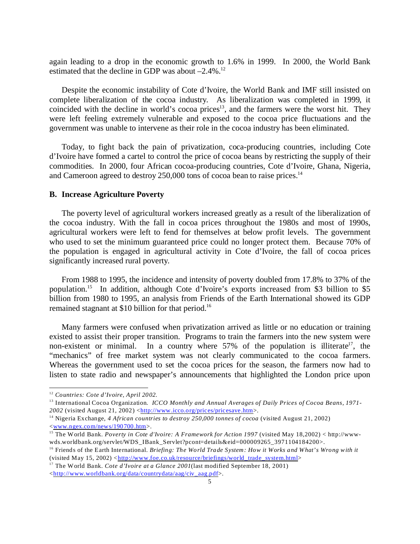again leading to a drop in the economic growth to 1.6% in 1999. In 2000, the World Bank estimated that the decline in GDP was about  $-2.4\%$ .<sup>12</sup>

Despite the economic instability of Cote d'Ivoire, the World Bank and IMF still insisted on complete liberalization of the cocoa industry. As liberalization was completed in 1999, it coincided with the decline in world's cocoa prices<sup>13</sup>, and the farmers were the worst hit. They were left feeling extremely vulnerable and exposed to the cocoa price fluctuations and the government was unable to intervene as their role in the cocoa industry has been eliminated.

Today, to fight back the pain of privatization, coca-producing countries, including Cote d'Ivoire have formed a cartel to control the price of cocoa beans by restricting the supply of their commodities. In 2000, four African cocoa-producing countries, Cote d'Ivoire, Ghana, Nigeria, and Cameroon agreed to destroy 250,000 tons of cocoa bean to raise prices.<sup>14</sup>

#### **B. Increase Agriculture Poverty**

The poverty level of agricultural workers increased greatly as a result of the liberalization of the cocoa industry. With the fall in cocoa prices throughout the 1980s and most of 1990s, agricultural workers were left to fend for themselves at below profit levels. The government who used to set the minimum guaranteed price could no longer protect them. Because 70% of the population is engaged in agricultural activity in Cote d'Ivoire, the fall of cocoa prices significantly increased rural poverty.

From 1988 to 1995, the incidence and intensity of poverty doubled from 17.8% to 37% of the population.<sup>15</sup> In addition, although Cote d'Ivoire's exports increased from \$3 billion to \$5 billion from 1980 to 1995, an analysis from Friends of the Earth International showed its GDP remained stagnant at \$10 billion for that period.<sup>16</sup>

Many farmers were confused when privatization arrived as little or no education or training existed to assist their proper transition. Programs to train the farmers into the new system were non-existent or minimal. In a country where  $57\%$  of the population is illiterate<sup>17</sup>, the "mechanics" of free market system was not clearly communicated to the cocoa farmers. Whereas the government used to set the cocoa prices for the season, the farmers now had to listen to state radio and newspaper's announcements that highlighted the London price upon

<sup>12</sup> *Countries: Cote d'Ivoire, April 2002.* 

<sup>13</sup> International Cocoa Organization*. ICCO Monthly and Annual Averages of Daily Prices of Cocoa Beans, 1971-* 2002 (visited August 21, 2002) [<http://www.icco.org/prices/pricesave.htm](#page-6-0)>.

<sup>14</sup> Nigeria Exchange, *4 African countries to destroy 250,000 tonnes of cocoa* (visited August 21, 2002) [<www.ngex.com/news/190700.htm](#page-6-0)>.

<sup>&</sup>lt;sup>15</sup> The World Bank. *Poverty in Cote d'Ivoire: A Framework for Action 1997* (visited May 18,2002) < http://wwwwds.worldbank.org/servlet/WDS\_IBank\_Servlet?pcont=details&eid=000009265\_3971104184200>.

<sup>&</sup>lt;sup>16</sup> Friends of the Earth International. *Briefing: The World Trade System: How it Works and What's Wrong with it*  $(visited May 15, 2002) <$ [http://www.foe.co.uk/resource/briefings/world\\_trade\\_system.html](#page-6-0)>

<sup>17</sup> The World Bank. *Cote d'Ivoire at a Glance 2001*(last modified September 18, 2001) [<http://www.worldbank.org/data/countrydata/aag/civ\\_aag.pdf](#page-6-0)>.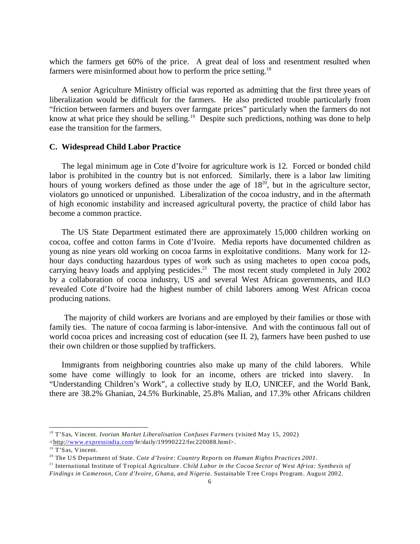which the farmers get 60% of the price. A great deal of loss and resentment resulted when farmers were misinformed about how to perform the price setting.<sup>18</sup>

A senior Agriculture Ministry official was reported as admitting that the first three years of liberalization would be difficult for the farmers. He also predicted trouble particularly from "friction between farmers and buyers over farmgate prices" particularly when the farmers do not know at what price they should be selling.<sup>19</sup> Despite such predictions, nothing was done to help ease the transition for the farmers.

#### **C. Widespread Child Labor Practice**

The legal minimum age in Cote d'Ivoire for agriculture work is 12. Forced or bonded child labor is prohibited in the country but is not enforced. Similarly, there is a labor law limiting hours of young workers defined as those under the age of  $18^{20}$ , but in the agriculture sector, violators go unnoticed or unpunished. Liberalization of the cocoa industry, and in the aftermath of high economic instability and increased agricultural poverty, the practice of child labor has become a common practice.

The US State Department estimated there are approximately 15,000 children working on cocoa, coffee and cotton farms in Cote d'Ivoire. Media reports have documented children as young as nine years old working on cocoa farms in exploitative conditions. Many work for 12 hour days conducting hazardous types of work such as using machetes to open cocoa pods, carrying heavy loads and applying pesticides.<sup>21</sup> The most recent study completed in July 2002 by a collaboration of cocoa industry, US and several West African governments, and ILO revealed Cote d'Ivoire had the highest number of child laborers among West African cocoa producing nations.

 The majority of child workers are Ivorians and are employed by their families or those with family ties. The nature of cocoa farming is labor-intensive. And with the continuous fall out of world cocoa prices and increasing cost of education (see II. 2), farmers have been pushed to use their own children or those supplied by traffickers.

Immigrants from neighboring countries also make up many of the child laborers. While some have come willingly to look for an income, others are tricked into slavery. In "Understanding Children's Work", a collective study by ILO, UNICEF, and the World Bank, there are 38.2% Ghanian, 24.5% Burkinable, 25.8% Malian, and 17.3% other Africans children

<sup>21</sup> International Institute of Tropical Agriculture. *Child Labor in the Cocoa Sector of West Africa: Synthesis of*

<sup>18</sup> T'Sas, Vincent. *Ivorian Market Liberalisation Confuses Farmers* (visited May 15, 2002)

<sup>&</sup>lt;http://[www.expressindia.com](#page-6-0)/fe/daily/19990222/fec220088.html>.

<sup>&</sup>lt;sup>19</sup> T'Sas, Vincent.

<sup>20</sup> The US Department of State. *Cote d'Ivoire: Country Reports on Human Rights Practices 2001*.

<span id="page-6-0"></span>*Findings in Cameroon, Cote d'Ivoire, Ghana, and Nigeria*. Sustainable Tree Crops Program. August 2002.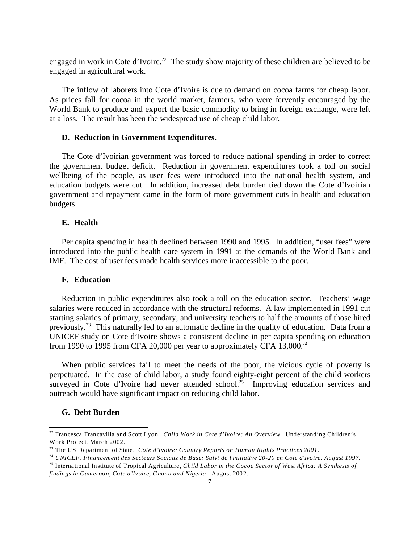engaged in work in Cote d'Ivoire.<sup>22</sup> The study show majority of these children are believed to be engaged in agricultural work.

The inflow of laborers into Cote d'Ivoire is due to demand on cocoa farms for cheap labor. As prices fall for cocoa in the world market, farmers, who were fervently encouraged by the World Bank to produce and export the basic commodity to bring in foreign exchange, were left at a loss. The result has been the widespread use of cheap child labor.

#### **D. Reduction in Government Expenditures.**

The Cote d'Ivoirian government was forced to reduce national spending in order to correct the government budget deficit. Reduction in government expenditures took a toll on social wellbeing of the people, as user fees were introduced into the national health system, and education budgets were cut. In addition, increased debt burden tied down the Cote d'Ivoirian government and repayment came in the form of more government cuts in health and education budgets.

# **E. Health**

Per capita spending in health declined between 1990 and 1995. In addition, "user fees" were introduced into the public health care system in 1991 at the demands of the World Bank and IMF. The cost of user fees made health services more inaccessible to the poor.

#### **F. Education**

Reduction in public expenditures also took a toll on the education sector. Teachers' wage salaries were reduced in accordance with the structural reforms. A law implemented in 1991 cut starting salaries of primary, secondary, and university teachers to half the amounts of those hired previously.<sup>23</sup> This naturally led to an automatic decline in the quality of education. Data from a UNICEF study on Cote d'Ivoire shows a consistent decline in per capita spending on education from 1990 to 1995 from CFA 20,000 per year to approximately CFA 13,000. $^{24}$ 

When public services fail to meet the needs of the poor, the vicious cycle of poverty is perpetuated. In the case of child labor, a study found eighty-eight percent of the child workers surveyed in Cote d'Ivoire had never attended school.<sup>25</sup> Improving education services and outreach would have significant impact on reducing child labor.

#### **G. Debt Burden**

<sup>22</sup> Francesca Francavilla and Scott Lyon. *Child Work in Cote d'Ivoire: An Overview*. Understanding Children's Work Project. March 2002.

<sup>23</sup> The US Department of State. *Cote d'Ivoire: Country Reports on Human Rights Practices 2001*.

<sup>24</sup> *UNICEF. Financement des Secteurs Sociauz de Base: Suivi de l'initiative 20-20 en Cote d'Ivoire. August 1997.*

<sup>25</sup> International Institute of Tropical Agriculture, *Child Labor in the Cocoa Sector of West Africa: A Synthesis of findings in Cameroon, Cote d'Ivoire, Ghana and Nigeria*. August 2002.